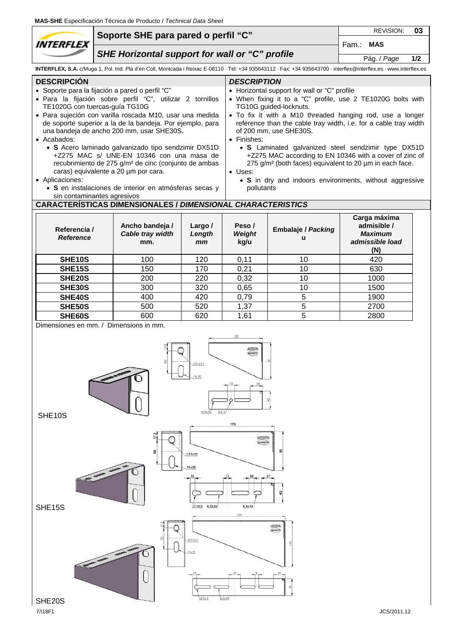|                                                                                                                                                                                                                                                                                                                                                                                                                                                                                                                                                                                                                                                                                                                                                                                                                                                                                                                                                                                                                                                                                                                                                                                                                                                                                                             | Soporte SHE para pared o perfil "C" |                                                                    |                                          |                                      |                                                                                                                                                                    |                                                                         | 03  |
|-------------------------------------------------------------------------------------------------------------------------------------------------------------------------------------------------------------------------------------------------------------------------------------------------------------------------------------------------------------------------------------------------------------------------------------------------------------------------------------------------------------------------------------------------------------------------------------------------------------------------------------------------------------------------------------------------------------------------------------------------------------------------------------------------------------------------------------------------------------------------------------------------------------------------------------------------------------------------------------------------------------------------------------------------------------------------------------------------------------------------------------------------------------------------------------------------------------------------------------------------------------------------------------------------------------|-------------------------------------|--------------------------------------------------------------------|------------------------------------------|--------------------------------------|--------------------------------------------------------------------------------------------------------------------------------------------------------------------|-------------------------------------------------------------------------|-----|
| <i><b>INTERFLEX</b></i>                                                                                                                                                                                                                                                                                                                                                                                                                                                                                                                                                                                                                                                                                                                                                                                                                                                                                                                                                                                                                                                                                                                                                                                                                                                                                     |                                     |                                                                    |                                          |                                      | Fam.: MAS                                                                                                                                                          |                                                                         |     |
| SHE Horizontal support for wall or "C" profile                                                                                                                                                                                                                                                                                                                                                                                                                                                                                                                                                                                                                                                                                                                                                                                                                                                                                                                                                                                                                                                                                                                                                                                                                                                              |                                     |                                                                    |                                          |                                      |                                                                                                                                                                    | Pág. / Page                                                             | 1/2 |
|                                                                                                                                                                                                                                                                                                                                                                                                                                                                                                                                                                                                                                                                                                                                                                                                                                                                                                                                                                                                                                                                                                                                                                                                                                                                                                             |                                     |                                                                    |                                          |                                      | INTERFLEX, S.A. c/Muga 1, Pol. Ind. Pla d'en Coll, Montcada i Reixac E-08110 · Tel: +34 935643112 · Fax: +34 935643700 · interflex@interflex.es · www.interflex.es |                                                                         |     |
| <b>DESCRIPCIÓN</b><br><b>DESCRIPTION</b><br>• Horizontal support for wall or "C" profile<br>· Soporte para la fijación a pared o perfil "C"<br>• When fixing it to a "C" profile, use 2 TE1020G bolts with<br>· Para la fijación sobre perfil "C", utilizar 2 tornillos<br>TE1020G con tuercas-guía TG10G<br>TG10G guided-locknuts.<br>· Para sujeción con varilla roscada M10, usar una medida<br>• To fix it with a M10 threaded hanging rod, use a longer<br>de soporte superior a la de la bandeja. Por ejemplo, para<br>reference than the cable tray width, i.e. for a cable tray width<br>una bandeja de ancho 200 mm, usar SHE30S.<br>of 200 mm, use SHE30S.<br>• Finishes:<br>• Acabados:<br>· S Acero laminado galvanizado tipo sendzimir DX51D<br>• S Laminated galvanized steel sendzimir type DX51D<br>+Z275 MAC s/ UNE-EN 10346 con una masa de<br>+Z275 MAC according to EN 10346 with a cover of zinc of<br>recubrimiento de 275 g/m <sup>2</sup> de cinc (conjunto de ambas<br>275 g/m <sup>2</sup> (both faces) equivalent to 20 µm in each face.<br>caras) equivalente a 20 um por cara.<br>• Uses:<br>• Aplicaciones:<br>• S in dry and indoors environments, without aggressive<br>· S en instalaciones de interior en atmósferas secas y<br>pollutants<br>sin contaminantes agresivos |                                     |                                                                    |                                          |                                      |                                                                                                                                                                    |                                                                         |     |
|                                                                                                                                                                                                                                                                                                                                                                                                                                                                                                                                                                                                                                                                                                                                                                                                                                                                                                                                                                                                                                                                                                                                                                                                                                                                                                             |                                     | <b>CARACTERÍSTICAS DIMENSIONALES / DIMENSIONAL CHARACTERISTICS</b> |                                          |                                      |                                                                                                                                                                    |                                                                         |     |
| Referencia /<br><b>Reference</b>                                                                                                                                                                                                                                                                                                                                                                                                                                                                                                                                                                                                                                                                                                                                                                                                                                                                                                                                                                                                                                                                                                                                                                                                                                                                            |                                     | Ancho bandeja /<br>Cable tray width<br>mm.                         | Largo /<br>Length<br>mm                  | Peso/<br>Weight<br>kg/u              | <b>Embalaje / Packing</b><br>u                                                                                                                                     | Carga máxima<br>admisible /<br><b>Maximum</b><br>admissible load<br>(N) |     |
| <b>SHE10S</b>                                                                                                                                                                                                                                                                                                                                                                                                                                                                                                                                                                                                                                                                                                                                                                                                                                                                                                                                                                                                                                                                                                                                                                                                                                                                                               |                                     | 100                                                                | 120                                      | 0,11                                 | 10                                                                                                                                                                 | 420                                                                     |     |
| <b>SHE15S</b>                                                                                                                                                                                                                                                                                                                                                                                                                                                                                                                                                                                                                                                                                                                                                                                                                                                                                                                                                                                                                                                                                                                                                                                                                                                                                               |                                     | 150                                                                | 170                                      | 0,21                                 | 10                                                                                                                                                                 | 630                                                                     |     |
| SHE20S                                                                                                                                                                                                                                                                                                                                                                                                                                                                                                                                                                                                                                                                                                                                                                                                                                                                                                                                                                                                                                                                                                                                                                                                                                                                                                      |                                     | 200                                                                | 220                                      | 0,32                                 | 10                                                                                                                                                                 | 1000                                                                    |     |
| <b>SHE30S</b>                                                                                                                                                                                                                                                                                                                                                                                                                                                                                                                                                                                                                                                                                                                                                                                                                                                                                                                                                                                                                                                                                                                                                                                                                                                                                               |                                     | 300                                                                | 320                                      | 0,65                                 | 10                                                                                                                                                                 | 1500                                                                    |     |
| SHE40S                                                                                                                                                                                                                                                                                                                                                                                                                                                                                                                                                                                                                                                                                                                                                                                                                                                                                                                                                                                                                                                                                                                                                                                                                                                                                                      |                                     | 400                                                                | 420                                      | 0,79                                 | 5<br>5                                                                                                                                                             | 1900                                                                    |     |
| SHE50S<br>SHE60S                                                                                                                                                                                                                                                                                                                                                                                                                                                                                                                                                                                                                                                                                                                                                                                                                                                                                                                                                                                                                                                                                                                                                                                                                                                                                            |                                     | 500<br>600                                                         | 520<br>620                               | 1,37<br>1,61                         | $\overline{5}$                                                                                                                                                     | 2700<br>2800                                                            |     |
| Dimensiones en mm. / Dimensions in mm.<br>SHE10S                                                                                                                                                                                                                                                                                                                                                                                                                                                                                                                                                                                                                                                                                                                                                                                                                                                                                                                                                                                                                                                                                                                                                                                                                                                            |                                     | 묾                                                                  | 011x11<br>11x25<br><b>Ø6.5</b><br>6,5x35 | 120<br>MITANO<br><b>GAMES</b><br>170 | 8                                                                                                                                                                  |                                                                         |     |



Q

 $11x25$ 

Ç

 $610.5$  6.5x35

 $6, 5x15$ 

**Signal**<br>Taxabk

 $\cong$ 

220

SHE15S

 $\sqrt{\frac{2}{\sqrt{2}}}$